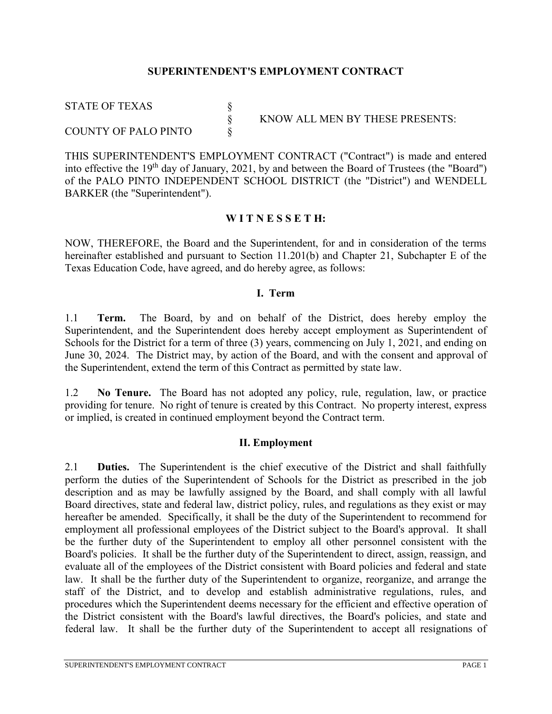#### **SUPERINTENDENT'S EMPLOYMENT CONTRACT**

§ KNOW ALL MEN BY THESE PRESENTS:

STATE OF TEXAS § COUNTY OF PALO PINTO

THIS SUPERINTENDENT'S EMPLOYMENT CONTRACT ("Contract") is made and entered into effective the 19<sup>th</sup> day of January, 2021, by and between the Board of Trustees (the "Board") of the PALO PINTO INDEPENDENT SCHOOL DISTRICT (the "District") and WENDELL BARKER (the "Superintendent").

#### **W I T N E S S E T H:**

NOW, THEREFORE, the Board and the Superintendent, for and in consideration of the terms hereinafter established and pursuant to Section 11.201(b) and Chapter 21, Subchapter E of the Texas Education Code, have agreed, and do hereby agree, as follows:

#### **I. Term**

1.1 **Term.** The Board, by and on behalf of the District, does hereby employ the Superintendent, and the Superintendent does hereby accept employment as Superintendent of Schools for the District for a term of three (3) years, commencing on July 1, 2021, and ending on June 30, 2024. The District may, by action of the Board, and with the consent and approval of the Superintendent, extend the term of this Contract as permitted by state law.

1.2 **No Tenure.** The Board has not adopted any policy, rule, regulation, law, or practice providing for tenure. No right of tenure is created by this Contract. No property interest, express or implied, is created in continued employment beyond the Contract term.

#### **II. Employment**

2.1 **Duties.** The Superintendent is the chief executive of the District and shall faithfully perform the duties of the Superintendent of Schools for the District as prescribed in the job description and as may be lawfully assigned by the Board, and shall comply with all lawful Board directives, state and federal law, district policy, rules, and regulations as they exist or may hereafter be amended. Specifically, it shall be the duty of the Superintendent to recommend for employment all professional employees of the District subject to the Board's approval. It shall be the further duty of the Superintendent to employ all other personnel consistent with the Board's policies. It shall be the further duty of the Superintendent to direct, assign, reassign, and evaluate all of the employees of the District consistent with Board policies and federal and state law. It shall be the further duty of the Superintendent to organize, reorganize, and arrange the staff of the District, and to develop and establish administrative regulations, rules, and procedures which the Superintendent deems necessary for the efficient and effective operation of the District consistent with the Board's lawful directives, the Board's policies, and state and federal law. It shall be the further duty of the Superintendent to accept all resignations of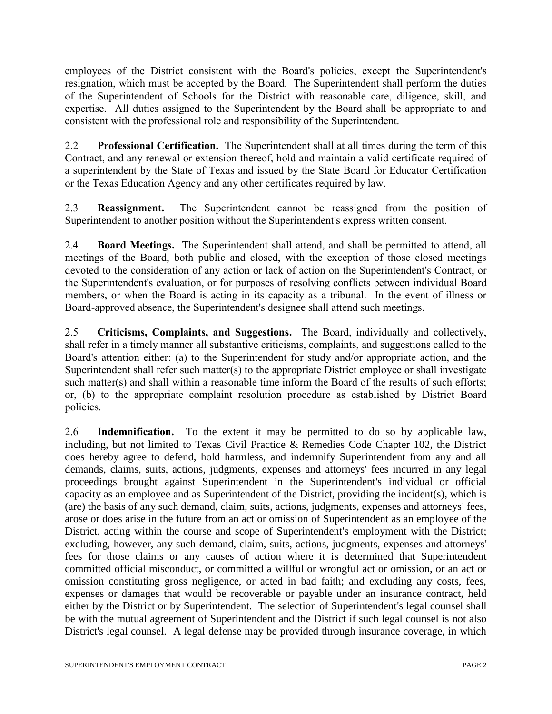employees of the District consistent with the Board's policies, except the Superintendent's resignation, which must be accepted by the Board. The Superintendent shall perform the duties of the Superintendent of Schools for the District with reasonable care, diligence, skill, and expertise. All duties assigned to the Superintendent by the Board shall be appropriate to and consistent with the professional role and responsibility of the Superintendent.

2.2 **Professional Certification.** The Superintendent shall at all times during the term of this Contract, and any renewal or extension thereof, hold and maintain a valid certificate required of a superintendent by the State of Texas and issued by the State Board for Educator Certification or the Texas Education Agency and any other certificates required by law.

2.3 **Reassignment.** The Superintendent cannot be reassigned from the position of Superintendent to another position without the Superintendent's express written consent.

2.4 **Board Meetings.** The Superintendent shall attend, and shall be permitted to attend, all meetings of the Board, both public and closed, with the exception of those closed meetings devoted to the consideration of any action or lack of action on the Superintendent's Contract, or the Superintendent's evaluation, or for purposes of resolving conflicts between individual Board members, or when the Board is acting in its capacity as a tribunal. In the event of illness or Board-approved absence, the Superintendent's designee shall attend such meetings.

2.5 **Criticisms, Complaints, and Suggestions.** The Board, individually and collectively, shall refer in a timely manner all substantive criticisms, complaints, and suggestions called to the Board's attention either: (a) to the Superintendent for study and/or appropriate action, and the Superintendent shall refer such matter(s) to the appropriate District employee or shall investigate such matter(s) and shall within a reasonable time inform the Board of the results of such efforts; or, (b) to the appropriate complaint resolution procedure as established by District Board policies.

2.6 **Indemnification.** To the extent it may be permitted to do so by applicable law, including, but not limited to Texas Civil Practice & Remedies Code Chapter 102, the District does hereby agree to defend, hold harmless, and indemnify Superintendent from any and all demands, claims, suits, actions, judgments, expenses and attorneys' fees incurred in any legal proceedings brought against Superintendent in the Superintendent's individual or official capacity as an employee and as Superintendent of the District, providing the incident(s), which is (are) the basis of any such demand, claim, suits, actions, judgments, expenses and attorneys' fees, arose or does arise in the future from an act or omission of Superintendent as an employee of the District, acting within the course and scope of Superintendent's employment with the District; excluding, however, any such demand, claim, suits, actions, judgments, expenses and attorneys' fees for those claims or any causes of action where it is determined that Superintendent committed official misconduct, or committed a willful or wrongful act or omission, or an act or omission constituting gross negligence, or acted in bad faith; and excluding any costs, fees, expenses or damages that would be recoverable or payable under an insurance contract, held either by the District or by Superintendent. The selection of Superintendent's legal counsel shall be with the mutual agreement of Superintendent and the District if such legal counsel is not also District's legal counsel. A legal defense may be provided through insurance coverage, in which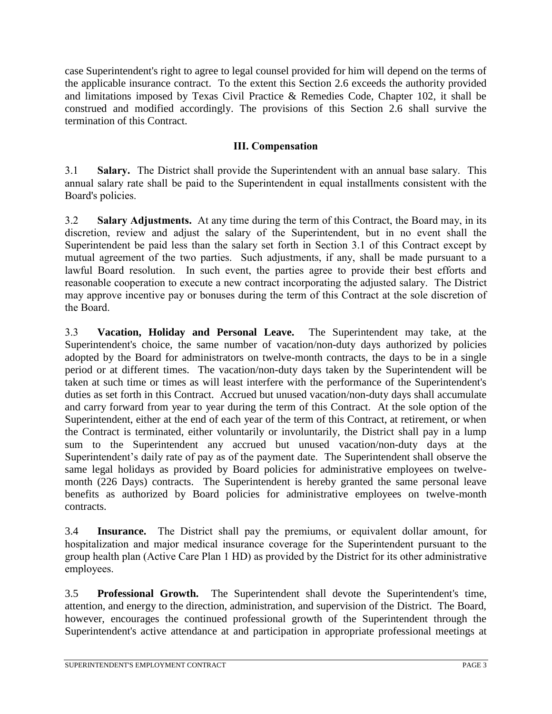case Superintendent's right to agree to legal counsel provided for him will depend on the terms of the applicable insurance contract. To the extent this Section 2.6 exceeds the authority provided and limitations imposed by Texas Civil Practice & Remedies Code, Chapter 102, it shall be construed and modified accordingly. The provisions of this Section 2.6 shall survive the termination of this Contract.

### **III. Compensation**

3.1 **Salary.** The District shall provide the Superintendent with an annual base salary. This annual salary rate shall be paid to the Superintendent in equal installments consistent with the Board's policies.

3.2 **Salary Adjustments.** At any time during the term of this Contract, the Board may, in its discretion, review and adjust the salary of the Superintendent, but in no event shall the Superintendent be paid less than the salary set forth in Section 3.1 of this Contract except by mutual agreement of the two parties. Such adjustments, if any, shall be made pursuant to a lawful Board resolution. In such event, the parties agree to provide their best efforts and reasonable cooperation to execute a new contract incorporating the adjusted salary. The District may approve incentive pay or bonuses during the term of this Contract at the sole discretion of the Board.

3.3 **Vacation, Holiday and Personal Leave.** The Superintendent may take, at the Superintendent's choice, the same number of vacation/non-duty days authorized by policies adopted by the Board for administrators on twelve-month contracts, the days to be in a single period or at different times. The vacation/non-duty days taken by the Superintendent will be taken at such time or times as will least interfere with the performance of the Superintendent's duties as set forth in this Contract. Accrued but unused vacation/non-duty days shall accumulate and carry forward from year to year during the term of this Contract. At the sole option of the Superintendent, either at the end of each year of the term of this Contract, at retirement, or when the Contract is terminated, either voluntarily or involuntarily, the District shall pay in a lump sum to the Superintendent any accrued but unused vacation/non-duty days at the Superintendent's daily rate of pay as of the payment date. The Superintendent shall observe the same legal holidays as provided by Board policies for administrative employees on twelvemonth (226 Days) contracts. The Superintendent is hereby granted the same personal leave benefits as authorized by Board policies for administrative employees on twelve-month contracts.

3.4 **Insurance.** The District shall pay the premiums, or equivalent dollar amount, for hospitalization and major medical insurance coverage for the Superintendent pursuant to the group health plan (Active Care Plan 1 HD) as provided by the District for its other administrative employees.

3.5 **Professional Growth.** The Superintendent shall devote the Superintendent's time, attention, and energy to the direction, administration, and supervision of the District. The Board, however, encourages the continued professional growth of the Superintendent through the Superintendent's active attendance at and participation in appropriate professional meetings at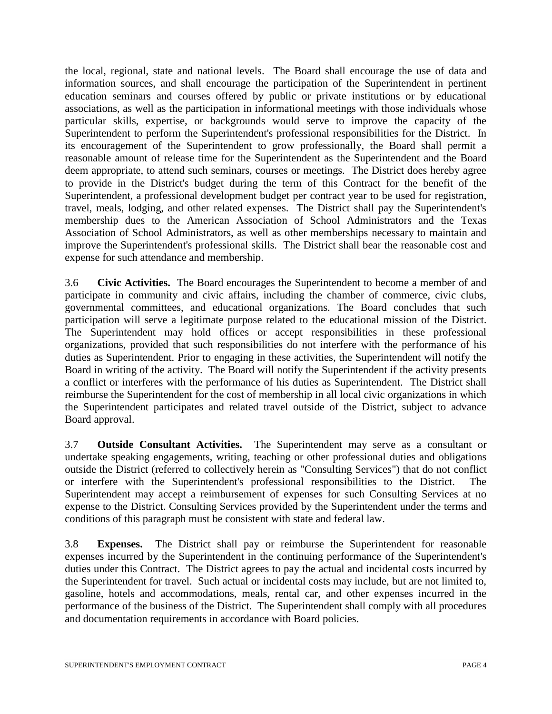the local, regional, state and national levels. The Board shall encourage the use of data and information sources, and shall encourage the participation of the Superintendent in pertinent education seminars and courses offered by public or private institutions or by educational associations, as well as the participation in informational meetings with those individuals whose particular skills, expertise, or backgrounds would serve to improve the capacity of the Superintendent to perform the Superintendent's professional responsibilities for the District. In its encouragement of the Superintendent to grow professionally, the Board shall permit a reasonable amount of release time for the Superintendent as the Superintendent and the Board deem appropriate, to attend such seminars, courses or meetings. The District does hereby agree to provide in the District's budget during the term of this Contract for the benefit of the Superintendent, a professional development budget per contract year to be used for registration, travel, meals, lodging, and other related expenses. The District shall pay the Superintendent's membership dues to the American Association of School Administrators and the Texas Association of School Administrators, as well as other memberships necessary to maintain and improve the Superintendent's professional skills. The District shall bear the reasonable cost and expense for such attendance and membership.

3.6 **Civic Activities.** The Board encourages the Superintendent to become a member of and participate in community and civic affairs, including the chamber of commerce, civic clubs, governmental committees, and educational organizations. The Board concludes that such participation will serve a legitimate purpose related to the educational mission of the District. The Superintendent may hold offices or accept responsibilities in these professional organizations, provided that such responsibilities do not interfere with the performance of his duties as Superintendent. Prior to engaging in these activities, the Superintendent will notify the Board in writing of the activity. The Board will notify the Superintendent if the activity presents a conflict or interferes with the performance of his duties as Superintendent. The District shall reimburse the Superintendent for the cost of membership in all local civic organizations in which the Superintendent participates and related travel outside of the District, subject to advance Board approval.

3.7 **Outside Consultant Activities.** The Superintendent may serve as a consultant or undertake speaking engagements, writing, teaching or other professional duties and obligations outside the District (referred to collectively herein as "Consulting Services") that do not conflict or interfere with the Superintendent's professional responsibilities to the District. The Superintendent may accept a reimbursement of expenses for such Consulting Services at no expense to the District. Consulting Services provided by the Superintendent under the terms and conditions of this paragraph must be consistent with state and federal law.

3.8 **Expenses.** The District shall pay or reimburse the Superintendent for reasonable expenses incurred by the Superintendent in the continuing performance of the Superintendent's duties under this Contract. The District agrees to pay the actual and incidental costs incurred by the Superintendent for travel. Such actual or incidental costs may include, but are not limited to, gasoline, hotels and accommodations, meals, rental car, and other expenses incurred in the performance of the business of the District. The Superintendent shall comply with all procedures and documentation requirements in accordance with Board policies.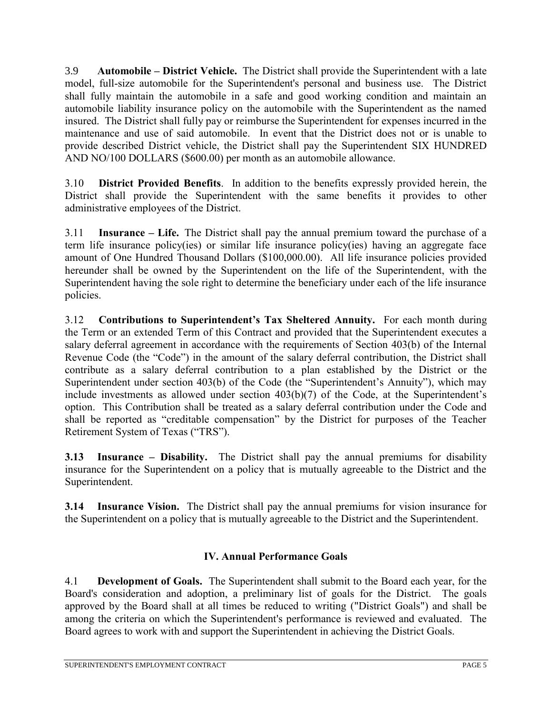3.9 **Automobile – District Vehicle.** The District shall provide the Superintendent with a late model, full-size automobile for the Superintendent's personal and business use. The District shall fully maintain the automobile in a safe and good working condition and maintain an automobile liability insurance policy on the automobile with the Superintendent as the named insured. The District shall fully pay or reimburse the Superintendent for expenses incurred in the maintenance and use of said automobile. In event that the District does not or is unable to provide described District vehicle, the District shall pay the Superintendent SIX HUNDRED AND NO/100 DOLLARS (\$600.00) per month as an automobile allowance.

3.10 **District Provided Benefits**. In addition to the benefits expressly provided herein, the District shall provide the Superintendent with the same benefits it provides to other administrative employees of the District.

3.11 **Insurance – Life.** The District shall pay the annual premium toward the purchase of a term life insurance policy(ies) or similar life insurance policy(ies) having an aggregate face amount of One Hundred Thousand Dollars (\$100,000.00). All life insurance policies provided hereunder shall be owned by the Superintendent on the life of the Superintendent, with the Superintendent having the sole right to determine the beneficiary under each of the life insurance policies.

3.12 **Contributions to Superintendent's Tax Sheltered Annuity.** For each month during the Term or an extended Term of this Contract and provided that the Superintendent executes a salary deferral agreement in accordance with the requirements of Section 403(b) of the Internal Revenue Code (the "Code") in the amount of the salary deferral contribution, the District shall contribute as a salary deferral contribution to a plan established by the District or the Superintendent under section 403(b) of the Code (the "Superintendent's Annuity"), which may include investments as allowed under section 403(b)(7) of the Code, at the Superintendent's option. This Contribution shall be treated as a salary deferral contribution under the Code and shall be reported as "creditable compensation" by the District for purposes of the Teacher Retirement System of Texas ("TRS").

**3.13 Insurance – Disability.** The District shall pay the annual premiums for disability insurance for the Superintendent on a policy that is mutually agreeable to the District and the Superintendent.

**3.14 Insurance Vision.** The District shall pay the annual premiums for vision insurance for the Superintendent on a policy that is mutually agreeable to the District and the Superintendent.

# **IV. Annual Performance Goals**

4.1 **Development of Goals.** The Superintendent shall submit to the Board each year, for the Board's consideration and adoption, a preliminary list of goals for the District. The goals approved by the Board shall at all times be reduced to writing ("District Goals") and shall be among the criteria on which the Superintendent's performance is reviewed and evaluated. The Board agrees to work with and support the Superintendent in achieving the District Goals.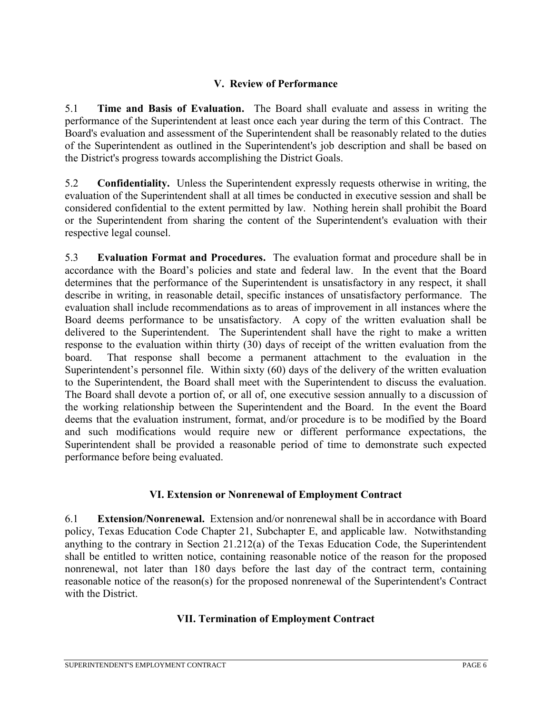### **V. Review of Performance**

5.1 **Time and Basis of Evaluation.** The Board shall evaluate and assess in writing the performance of the Superintendent at least once each year during the term of this Contract. The Board's evaluation and assessment of the Superintendent shall be reasonably related to the duties of the Superintendent as outlined in the Superintendent's job description and shall be based on the District's progress towards accomplishing the District Goals.

5.2 **Confidentiality.** Unless the Superintendent expressly requests otherwise in writing, the evaluation of the Superintendent shall at all times be conducted in executive session and shall be considered confidential to the extent permitted by law. Nothing herein shall prohibit the Board or the Superintendent from sharing the content of the Superintendent's evaluation with their respective legal counsel.

5.3 **Evaluation Format and Procedures.** The evaluation format and procedure shall be in accordance with the Board's policies and state and federal law. In the event that the Board determines that the performance of the Superintendent is unsatisfactory in any respect, it shall describe in writing, in reasonable detail, specific instances of unsatisfactory performance. The evaluation shall include recommendations as to areas of improvement in all instances where the Board deems performance to be unsatisfactory. A copy of the written evaluation shall be delivered to the Superintendent. The Superintendent shall have the right to make a written response to the evaluation within thirty (30) days of receipt of the written evaluation from the board. That response shall become a permanent attachment to the evaluation in the Superintendent's personnel file. Within sixty (60) days of the delivery of the written evaluation to the Superintendent, the Board shall meet with the Superintendent to discuss the evaluation. The Board shall devote a portion of, or all of, one executive session annually to a discussion of the working relationship between the Superintendent and the Board. In the event the Board deems that the evaluation instrument, format, and/or procedure is to be modified by the Board and such modifications would require new or different performance expectations, the Superintendent shall be provided a reasonable period of time to demonstrate such expected performance before being evaluated.

## **VI. Extension or Nonrenewal of Employment Contract**

6.1 **Extension/Nonrenewal.** Extension and/or nonrenewal shall be in accordance with Board policy, Texas Education Code Chapter 21, Subchapter E, and applicable law. Notwithstanding anything to the contrary in Section 21.212(a) of the Texas Education Code, the Superintendent shall be entitled to written notice, containing reasonable notice of the reason for the proposed nonrenewal, not later than 180 days before the last day of the contract term, containing reasonable notice of the reason(s) for the proposed nonrenewal of the Superintendent's Contract with the District.

## **VII. Termination of Employment Contract**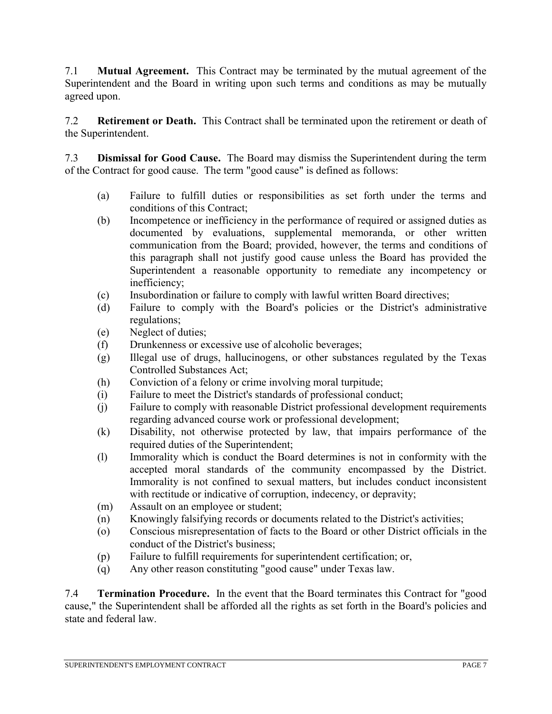7.1 **Mutual Agreement.** This Contract may be terminated by the mutual agreement of the Superintendent and the Board in writing upon such terms and conditions as may be mutually agreed upon.

7.2 **Retirement or Death.** This Contract shall be terminated upon the retirement or death of the Superintendent.

7.3 **Dismissal for Good Cause.** The Board may dismiss the Superintendent during the term of the Contract for good cause. The term "good cause" is defined as follows:

- (a) Failure to fulfill duties or responsibilities as set forth under the terms and conditions of this Contract;
- (b) Incompetence or inefficiency in the performance of required or assigned duties as documented by evaluations, supplemental memoranda, or other written communication from the Board; provided, however, the terms and conditions of this paragraph shall not justify good cause unless the Board has provided the Superintendent a reasonable opportunity to remediate any incompetency or inefficiency;
- (c) Insubordination or failure to comply with lawful written Board directives;
- (d) Failure to comply with the Board's policies or the District's administrative regulations;
- (e) Neglect of duties;
- (f) Drunkenness or excessive use of alcoholic beverages;
- (g) Illegal use of drugs, hallucinogens, or other substances regulated by the Texas Controlled Substances Act;
- (h) Conviction of a felony or crime involving moral turpitude;
- (i) Failure to meet the District's standards of professional conduct;
- (j) Failure to comply with reasonable District professional development requirements regarding advanced course work or professional development;
- (k) Disability, not otherwise protected by law, that impairs performance of the required duties of the Superintendent;
- (l) Immorality which is conduct the Board determines is not in conformity with the accepted moral standards of the community encompassed by the District. Immorality is not confined to sexual matters, but includes conduct inconsistent with rectitude or indicative of corruption, indecency, or depravity;
- (m) Assault on an employee or student;
- (n) Knowingly falsifying records or documents related to the District's activities;
- (o) Conscious misrepresentation of facts to the Board or other District officials in the conduct of the District's business;
- (p) Failure to fulfill requirements for superintendent certification; or,
- (q) Any other reason constituting "good cause" under Texas law.

7.4 **Termination Procedure.** In the event that the Board terminates this Contract for "good cause," the Superintendent shall be afforded all the rights as set forth in the Board's policies and state and federal law.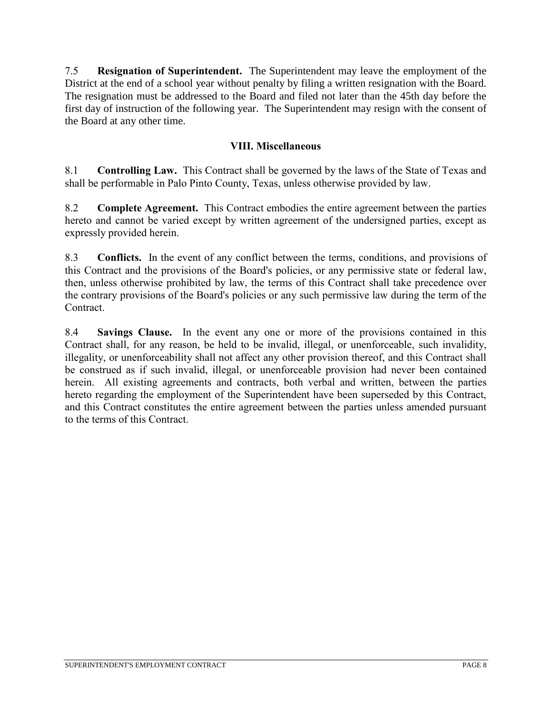7.5 **Resignation of Superintendent.** The Superintendent may leave the employment of the District at the end of a school year without penalty by filing a written resignation with the Board. The resignation must be addressed to the Board and filed not later than the 45th day before the first day of instruction of the following year. The Superintendent may resign with the consent of the Board at any other time.

### **VIII. Miscellaneous**

8.1 **Controlling Law.** This Contract shall be governed by the laws of the State of Texas and shall be performable in Palo Pinto County, Texas, unless otherwise provided by law.

8.2 **Complete Agreement.** This Contract embodies the entire agreement between the parties hereto and cannot be varied except by written agreement of the undersigned parties, except as expressly provided herein.

8.3 **Conflicts.** In the event of any conflict between the terms, conditions, and provisions of this Contract and the provisions of the Board's policies, or any permissive state or federal law, then, unless otherwise prohibited by law, the terms of this Contract shall take precedence over the contrary provisions of the Board's policies or any such permissive law during the term of the Contract.

8.4 **Savings Clause.** In the event any one or more of the provisions contained in this Contract shall, for any reason, be held to be invalid, illegal, or unenforceable, such invalidity, illegality, or unenforceability shall not affect any other provision thereof, and this Contract shall be construed as if such invalid, illegal, or unenforceable provision had never been contained herein. All existing agreements and contracts, both verbal and written, between the parties hereto regarding the employment of the Superintendent have been superseded by this Contract, and this Contract constitutes the entire agreement between the parties unless amended pursuant to the terms of this Contract.